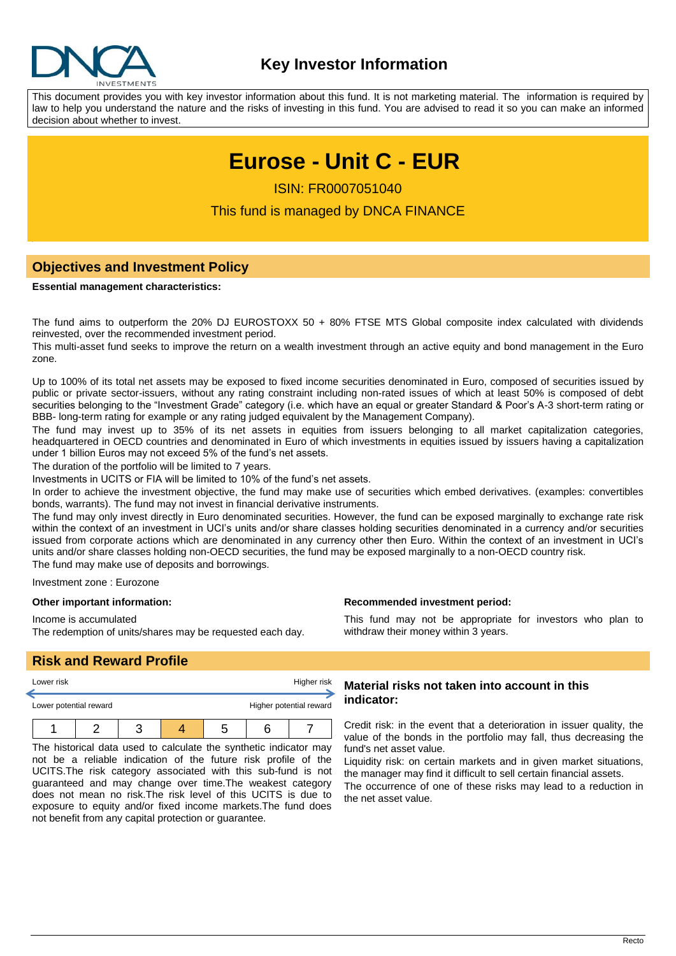

This document provides you with key investor information about this fund. It is not marketing material. The information is required by law to help you understand the nature and the risks of investing in this fund. You are advised to read it so you can make an informed decision about whether to invest.

# **Eurose - Unit C - EUR**

ISIN: FR0007051040

This fund is managed by DNCA FINANCE

# **Objectives and Investment Policy**

#### **Essential management characteristics:**

The fund aims to outperform the 20% DJ EUROSTOXX 50 + 80% FTSE MTS Global composite index calculated with dividends reinvested, over the recommended investment period.

This multi-asset fund seeks to improve the return on a wealth investment through an active equity and bond management in the Euro zone.

Up to 100% of its total net assets may be exposed to fixed income securities denominated in Euro, composed of securities issued by public or private sector-issuers, without any rating constraint including non-rated issues of which at least 50% is composed of debt securities belonging to the "Investment Grade" category (i.e. which have an equal or greater Standard & Poor's A-3 short-term rating or BBB- long-term rating for example or any rating judged equivalent by the Management Company).

The fund may invest up to 35% of its net assets in equities from issuers belonging to all market capitalization categories, headquartered in OECD countries and denominated in Euro of which investments in equities issued by issuers having a capitalization under 1 billion Euros may not exceed 5% of the fund's net assets.

The duration of the portfolio will be limited to 7 years.

Investments in UCITS or FIA will be limited to 10% of the fund's net assets.

In order to achieve the investment objective, the fund may make use of securities which embed derivatives. (examples: convertibles bonds, warrants). The fund may not invest in financial derivative instruments.

The fund may only invest directly in Euro denominated securities. However, the fund can be exposed marginally to exchange rate risk within the context of an investment in UCI's units and/or share classes holding securities denominated in a currency and/or securities issued from corporate actions which are denominated in any currency other then Euro. Within the context of an investment in UCI's units and/or share classes holding non-OECD securities, the fund may be exposed marginally to a non-OECD country risk. The fund may make use of deposits and borrowings.

Investment zone : Eurozone

#### **Other important information:**

Income is accumulated

The redemption of units/shares may be requested each day.

**Recommended investment period:**

This fund may not be appropriate for investors who plan to withdraw their money within 3 years.

# **Risk and Reward Profile**

| Lower risk             |  |  | Higher risk |                         |
|------------------------|--|--|-------------|-------------------------|
| Lower potential reward |  |  |             | Higher potential reward |
|                        |  |  | n           |                         |

The historical data used to calculate the synthetic indicator may not be a reliable indication of the future risk profile of the UCITS.The risk category associated with this sub-fund is not guaranteed and may change over time.The weakest category does not mean no risk.The risk level of this UCITS is due to exposure to equity and/or fixed income markets.The fund does not benefit from any capital protection or guarantee.

## **Material risks not taken into account in this indicator:**

Credit risk: in the event that a deterioration in issuer quality, the value of the bonds in the portfolio may fall, thus decreasing the fund's net asset value.

Liquidity risk: on certain markets and in given market situations, the manager may find it difficult to sell certain financial assets.

The occurrence of one of these risks may lead to a reduction in the net asset value.